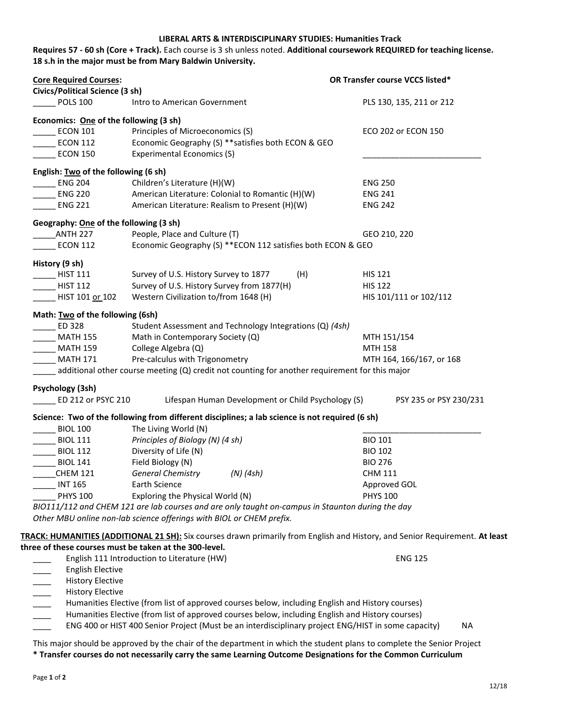## **LIBERAL ARTS & INTERDISCIPLINARY STUDIES: Humanities Track**

**Requires 57 - 60 sh (Core + Track).** Each course is 3 sh unless noted. **Additional coursework REQUIRED for teaching license. 18 s.h in the major must be from Mary Baldwin University.**

| <b>Core Required Courses:</b><br>Civics/Political Science (3 sh) |                                                                                                                                                                          | OR Transfer course VCCS listed* |
|------------------------------------------------------------------|--------------------------------------------------------------------------------------------------------------------------------------------------------------------------|---------------------------------|
| <b>POLS 100</b>                                                  | Intro to American Government                                                                                                                                             | PLS 130, 135, 211 or 212        |
| Economics: One of the following (3 sh)                           |                                                                                                                                                                          |                                 |
| <b>ECON 101</b>                                                  | Principles of Microeconomics (S)                                                                                                                                         | ECO 202 or ECON 150             |
| <b>ECON 112</b>                                                  | Economic Geography (S) ** satisfies both ECON & GEO                                                                                                                      |                                 |
| <b>ECON 150</b>                                                  | Experimental Economics (S)                                                                                                                                               |                                 |
| English: Two of the following (6 sh)                             |                                                                                                                                                                          |                                 |
| <b>ENG 204</b>                                                   | Children's Literature (H)(W)                                                                                                                                             | <b>ENG 250</b>                  |
| <b>ENG 220</b>                                                   | American Literature: Colonial to Romantic (H)(W)                                                                                                                         | <b>ENG 241</b>                  |
| <b>ENG 221</b>                                                   | American Literature: Realism to Present (H)(W)                                                                                                                           | <b>ENG 242</b>                  |
| Geography: One of the following (3 sh)                           |                                                                                                                                                                          |                                 |
| ANTH 227                                                         | People, Place and Culture (T)                                                                                                                                            | GEO 210, 220                    |
| <b>ECON 112</b>                                                  | Economic Geography (S) ** ECON 112 satisfies both ECON & GEO                                                                                                             |                                 |
| History (9 sh)                                                   |                                                                                                                                                                          |                                 |
| <b>HIST 111</b>                                                  | Survey of U.S. History Survey to 1877<br>(H)                                                                                                                             | <b>HIS 121</b>                  |
| <b>HIST 112</b>                                                  | Survey of U.S. History Survey from 1877(H)                                                                                                                               | <b>HIS 122</b>                  |
| HIST 101 or 102                                                  | Western Civilization to/from 1648 (H)                                                                                                                                    | HIS 101/111 or 102/112          |
|                                                                  |                                                                                                                                                                          |                                 |
| Math: Two of the following (6sh)<br>ED 328                       | Student Assessment and Technology Integrations (Q) (4sh)                                                                                                                 |                                 |
| <b>MATH 155</b>                                                  | Math in Contemporary Society (Q)                                                                                                                                         | MTH 151/154                     |
| <b>MATH 159</b>                                                  | College Algebra (Q)                                                                                                                                                      | <b>MTH 158</b>                  |
|                                                                  | Pre-calculus with Trigonometry                                                                                                                                           | MTH 164, 166/167, or 168        |
| <b>MATH 171</b>                                                  | additional other course meeting (Q) credit not counting for another requirement for this major                                                                           |                                 |
|                                                                  |                                                                                                                                                                          |                                 |
| Psychology (3sh)<br>ED 212 or PSYC 210                           | Lifespan Human Development or Child Psychology (S)                                                                                                                       | PSY 235 or PSY 230/231          |
|                                                                  |                                                                                                                                                                          |                                 |
| <b>BIOL 100</b>                                                  | Science: Two of the following from different disciplines; a lab science is not required (6 sh)<br>The Living World (N)                                                   |                                 |
| <b>BIOL 111</b>                                                  | Principles of Biology (N) (4 sh)                                                                                                                                         | <b>BIO 101</b>                  |
| <b>BIOL 112</b>                                                  | Diversity of Life (N)                                                                                                                                                    | <b>BIO 102</b>                  |
| <b>BIOL 141</b>                                                  | Field Biology (N)                                                                                                                                                        | <b>BIO 276</b>                  |
|                                                                  | <b>General Chemistry</b>                                                                                                                                                 |                                 |
| <b>CHEM 121</b>                                                  | $(N)$ (4sh)<br>Earth Science                                                                                                                                             | <b>CHM 111</b>                  |
| <b>INT 165</b>                                                   |                                                                                                                                                                          | Approved GOL                    |
| <b>PHYS 100</b>                                                  | Exploring the Physical World (N)                                                                                                                                         | <b>PHYS 100</b>                 |
|                                                                  | BIO111/112 and CHEM 121 are lab courses and are only taught on-campus in Staunton during the day<br>Other MBU online non-lab science offerings with BIOL or CHEM prefix. |                                 |
|                                                                  |                                                                                                                                                                          |                                 |
|                                                                  | TRACK: HUMANITIES (ADDITIONAL 21 SH): Six courses drawn primarily from English and History, and Senior Requirement. At least                                             |                                 |
|                                                                  | three of these courses must be taken at the 300-level.                                                                                                                   |                                 |
|                                                                  | English 111 Introduction to Literature (HW)                                                                                                                              | <b>ENG 125</b>                  |
| <b>English Elective</b>                                          |                                                                                                                                                                          |                                 |
| <b>History Elective</b>                                          |                                                                                                                                                                          |                                 |
| <b>History Elective</b>                                          |                                                                                                                                                                          |                                 |
|                                                                  | Humanities Elective (from list of approved courses below, including English and History courses)                                                                         |                                 |
|                                                                  | Humanities Elective (from list of approved courses below, including English and History courses)                                                                         |                                 |

ENG 400 or HIST 400 Senior Project (Must be an interdisciplinary project ENG/HIST in some capacity) NA

This major should be approved by the chair of the department in which the student plans to complete the Senior Project **\* Transfer courses do not necessarily carry the same Learning Outcome Designations for the Common Curriculum**